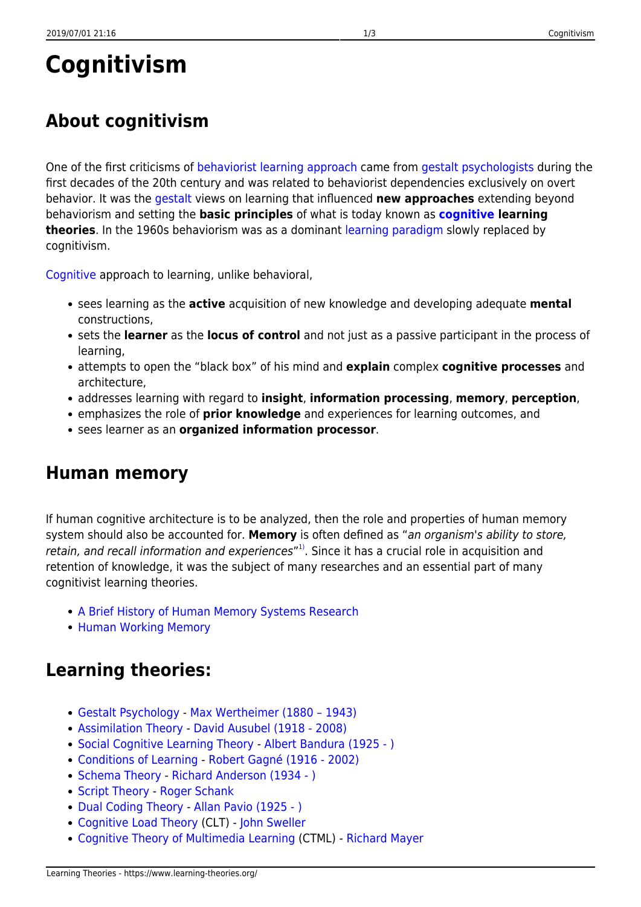# **Cognitivism**

# **About cognitivism**

One of the first criticisms of [behaviorist learning approach](https://www.learning-theories.org/doku.php?id=learning_paradigms:behaviorism) came from [gestalt psychologists](https://www.learning-theories.org/doku.php?id=learning_theories:gestalt_psychology) during the first decades of the 20th century and was related to behaviorist dependencies exclusively on overt behavior. It was the [gestalt](https://www.learning-theories.org/doku.php?id=glossary#gestalt) views on learning that influenced **new approaches** extending beyond behaviorism and setting the **basic principles** of what is today known as **[cognitive](https://www.learning-theories.org/doku.php?id=glossary#cognition) learning theories**. In the 1960s behaviorism was as a dominant [learning paradigm](https://www.learning-theories.org/doku.php?id=learning_paradigms) slowly replaced by cognitivism.

[Cognitive](https://www.learning-theories.org/doku.php?id=glossary#cognition) approach to learning, unlike behavioral,

- sees learning as the **active** acquisition of new knowledge and developing adequate **mental** constructions,
- sets the **learner** as the **locus of control** and not just as a passive participant in the process of learning,
- attempts to open the "black box" of his mind and **explain** complex **cognitive processes** and architecture,
- addresses learning with regard to **insight**, **information processing**, **memory**, **perception**,
- emphasizes the role of **prior knowledge** and experiences for learning outcomes, and
- sees learner as an **organized information processor**.

#### **Human memory**

If human cognitive architecture is to be analyzed, then the role and properties of human memory system should also be accounted for. **Memory** is often defined as "an organism's ability to store, retain, and recall information and experiences"<sup>[1\)](#page--1-0)</sup>. Since it has a crucial role in acquisition and retention of knowledge, it was the subject of many researches and an essential part of many cognitivist learning theories.

- [A Brief History of Human Memory Systems Research](https://www.learning-theories.org/doku.php?id=memory_models:a_brief_history_of_human_memory_systems)
- [Human Working Memory](https://www.learning-theories.org/doku.php?id=memory_models:human_working_memory)

## **Learning theories:**

- [Gestalt Psychology](https://www.learning-theories.org/doku.php?id=learning_theories:gestalt_psychology)  [Max Wertheimer \(1880 1943\)](http://en.wikipedia.org/wiki/Max_Wertheimer)
- [Assimilation Theory](https://www.learning-theories.org/doku.php?id=learning_theories:assimilation_theory) [David Ausubel \(1918 2008\)](http://www.davidausubel.org/)
- [Social Cognitive Learning Theory](https://www.learning-theories.org/doku.php?id=learning_theories:social_cognitive_learning_theory)  [Albert Bandura \(1925 \)](http://en.wikipedia.org/wiki/Albert_Bandura)
- [Conditions of Learning](https://www.learning-theories.org/doku.php?id=learning_theories:conditions_of_learning) [Robert Gagné \(1916 2002\)](http://www.ibstpi.org/Products/pdf/appendix_A-C.pdf)
- [Schema Theory](https://www.learning-theories.org/doku.php?id=learning_theories:schema_theory)  [Richard Anderson \(1934 \)](http://www.education.com/reference/article/anderson-richard-chase-1934-/)
- [Script Theory](https://www.learning-theories.org/doku.php?id=learning_theories:script_theory)  [Roger Schank](http://www.rogerschank.com/)
- [Dual Coding Theory](https://www.learning-theories.org/doku.php?id=learning_theories:dual_coding_theory) - [Allan Pavio \(1925 \)](http://en.wikipedia.org/wiki/Allan_Paivio)
- [Cognitive Load Theory](https://www.learning-theories.org/doku.php?id=learning_theories:cognitive_load_theory) (CLT) - [John Sweller](http://education.arts.unsw.edu.au/staff/john-sweller-726.html)
- [Cognitive Theory of Multimedia Learning](https://www.learning-theories.org/doku.php?id=learning_theories:cognitive_theory_of_multimedia_learning) (CTML) [Richard Mayer](http://www.psych.ucsb.edu/people/faculty/mayer/index.php)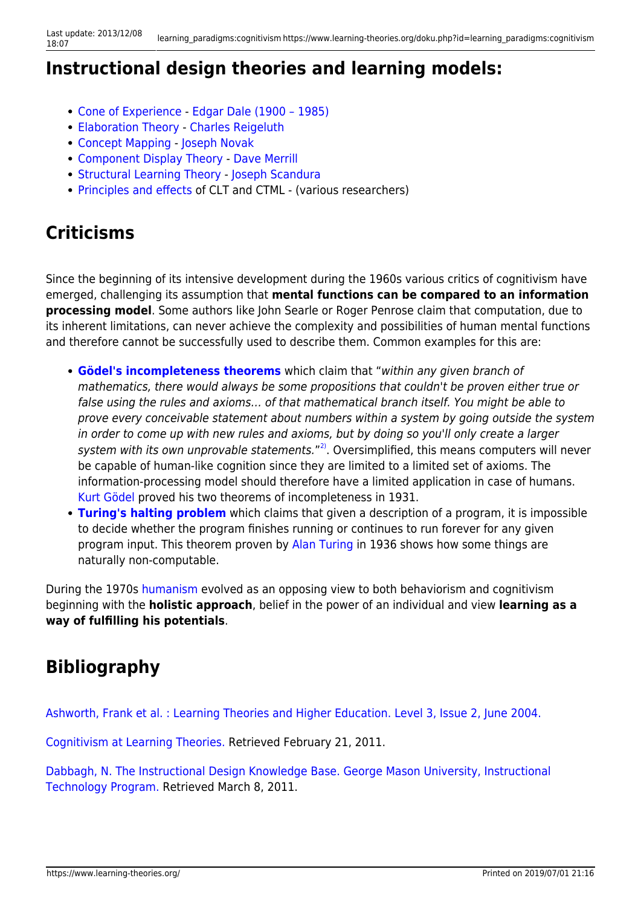## **Instructional design theories and learning models:**

- [Cone of Experience](https://www.learning-theories.org/doku.php?id=instructional_design:cone_of_experience)  [Edgar Dale \(1900 1985\)](http://en.wikipedia.org/wiki/Edgar_Dale)
- [Elaboration Theory](https://www.learning-theories.org/doku.php?id=instructional_design:elaboration_theory) - [Charles Reigeluth](http://www.indiana.edu/~syschang/decatur/bios/biographies.html)
- [Concept Mapping](https://www.learning-theories.org/doku.php?id=instructional_design:concept_mapping) [Joseph Novak](http://www.ihmc.us/groups/jnovak/)
- [Component Display Theory](https://www.learning-theories.org/doku.php?id=instructional_design:component_display_theory) [Dave Merrill](http://mdavidmerrill.com/index.htm)
- [Structural Learning Theory](https://www.learning-theories.org/doku.php?id=instructional_design:structural_learning) - [Joseph Scandura](http://www.scandura.com/)
- [Principles and effects](https://www.learning-theories.org/doku.php?id=research_results:principles_and_effects) of CLT and CTML (various researchers)

#### **Criticisms**

Since the beginning of its intensive development during the 1960s various critics of cognitivism have emerged, challenging its assumption that **mental functions can be compared to an information processing model**. Some authors like John Searle or Roger Penrose claim that computation, due to its inherent limitations, can never achieve the complexity and possibilities of human mental functions and therefore cannot be successfully used to describe them. Common examples for this are:

- **[Gödel's incompleteness theorems](http://www.miskatonic.org/godel.html)** which claim that "within any given branch of mathematics, there would always be some propositions that couldn't be proven either true or false using the rules and axioms… of that mathematical branch itself. You might be able to prove every conceivable statement about numbers within a system by going outside the system in order to come up with new rules and axioms, but by doing so you'll only create a larger system with its own unprovable statements."<sup>[2\)](#page--1-0)</sup>. Oversimplified, this means computers will never be capable of human-like cognition since they are limited to a limited set of axioms. The information-processing model should therefore have a limited application in case of humans. [Kurt Gödel](http://kgs.logic.at/index.php?id=23) proved his two theorems of incompleteness in 1931.
- **[Turing's halting problem](http://www.scientificamerican.com/article.cfm?id=why-is-turings-halting-pr)** which claims that given a description of a program, it is impossible to decide whether the program finishes running or continues to run forever for any given program input. This theorem proven by [Alan Turing](http://www.alanturing.net/) in 1936 shows how some things are naturally non-computable.

During the 1970s [humanism](https://www.learning-theories.org/doku.php?id=learning_paradigms:humanism) evolved as an opposing view to both behaviorism and cognitivism beginning with the **holistic approach**, belief in the power of an individual and view **learning as a way of fulfilling his potentials**.

## **Bibliography**

[Ashworth, Frank et al. : Learning Theories and Higher Education. Level 3, Issue 2, June 2004.](http://arrow.dit.ie/cgi/viewcontent.cgi?article=1003&context=engscheleart)

[Cognitivism at Learning Theories.](http://www.learning-theories.com/cognitivism.html) Retrieved February 21, 2011.

[Dabbagh, N. The Instructional Design Knowledge Base. George Mason University, Instructional](http://classweb.gmu.edu/ndabbagh/Resources/IDKB/models_theories.htm) [Technology Program.](http://classweb.gmu.edu/ndabbagh/Resources/IDKB/models_theories.htm) Retrieved March 8, 2011.